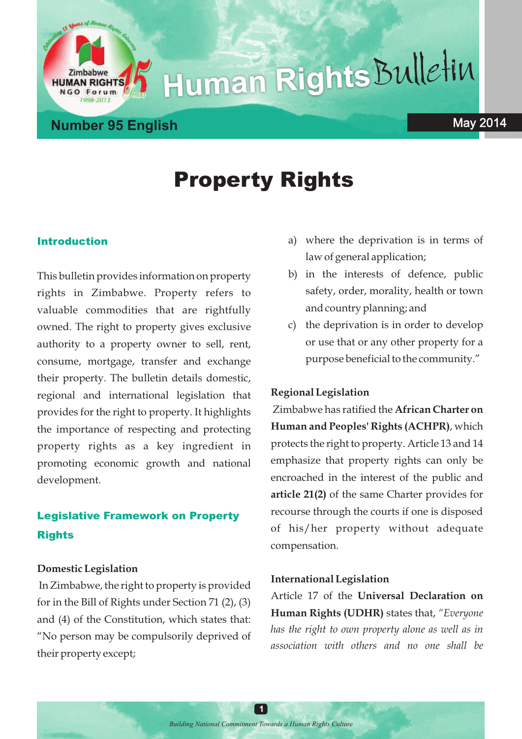# **Human Rights**Bulletin

Forum

# Property Rights

#### Introduction

This bulletin provides information on property rights in Zimbabwe. Property refers to valuable commodities that are rightfully owned. The right to property gives exclusive authority to a property owner to sell, rent, consume, mortgage, transfer and exchange their property. The bulletin details domestic, regional and international legislation that provides for the right to property. It highlights the importance of respecting and protecting property rights as a key ingredient in promoting economic growth and national development.

## Legislative Framework on Property **Rights**

#### **Domestic Legislation**

In Zimbabwe, the right to property is provided for in the Bill of Rights under Section 71 (2), (3) and (4) of the Constitution, which states that: "No person may be compulsorily deprived of their property except;

- a) where the deprivation is in terms of law of general application;
- b) in the interests of defence, public safety, order, morality, health or town and country planning; and
- c) the deprivation is in order to develop or use that or any other property for a purpose beneficial to the community."

#### **Regional Legislation**

Zimbabwe has ratified the **African Charter on Human and Peoples' Rights (ACHPR)**, which protects the right to property. Article 13 and 14 emphasize that property rights can only be encroached in the interest of the public and **article 21(2)** of the same Charter provides for recourse through the courts if one is disposed of his/her property without adequate compensation.

#### **International Legislation**

Article 17 of the **Universal Declaration on Human Rights (UDHR)** states that, *"Everyone has the right to own property alone as well as in association with others and no one shall be*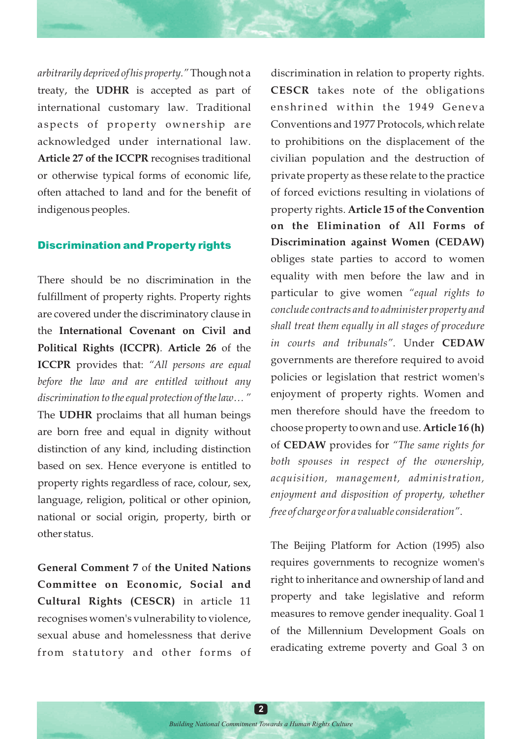*arbitrarily deprived of his property."* Though not a treaty, the **UDHR** is accepted as part of international customary law. Traditional aspects of property ownership are acknowledged under international law. **Article 27 of the ICCPR** recognises traditional or otherwise typical forms of economic life, often attached to land and for the benefit of indigenous peoples.

#### Discrimination and Property rights

There should be no discrimination in the fulfillment of property rights. Property rights are covered under the discriminatory clause in the **International Covenant on Civil and Political Rights (ICCPR)**. **Article 26** of the **ICCPR** provides that: *"All persons are equal before the law and are entitled without any discrimination to the equal protection of the law… "* The **UDHR** proclaims that all human beings are born free and equal in dignity without distinction of any kind, including distinction based on sex. Hence everyone is entitled to property rights regardless of race, colour, sex, language, religion, political or other opinion, national or social origin, property, birth or other status.

**General Comment 7** of **the United Nations Committee on Economic, Social and Cultural Rights (CESCR)** in article 11 recognises women's vulnerability to violence, sexual abuse and homelessness that derive from statutory and other forms of

discrimination in relation to property rights. **CESCR** takes note of the obligations enshrined within the 1949 Geneva Conventions and 1977 Protocols, which relate to prohibitions on the displacement of the civilian population and the destruction of private property as these relate to the practice of forced evictions resulting in violations of property rights. **Article 15 of the Convention on the Elimination of All Forms of Discrimination against Women (CEDAW)** obliges state parties to accord to women equality with men before the law and in particular to give women *"equal rights to conclude contracts and to administer property and shall treat them equally in all stages of procedure in courts and tribunals".* Under **CEDAW**  governments are therefore required to avoid policies or legislation that restrict women's enjoyment of property rights. Women and men therefore should have the freedom to choose property to own and use. **Article 16 (h)** of **CEDAW** provides for *"The same rights for both spouses in respect of the ownership, acquisition, management, administration, enjoyment and disposition of property, whether free of charge or for a valuable consideration"*.

The Beijing Platform for Action (1995) also requires governments to recognize women's right to inheritance and ownership of land and property and take legislative and reform measures to remove gender inequality. Goal 1 of the Millennium Development Goals on eradicating extreme poverty and Goal 3 on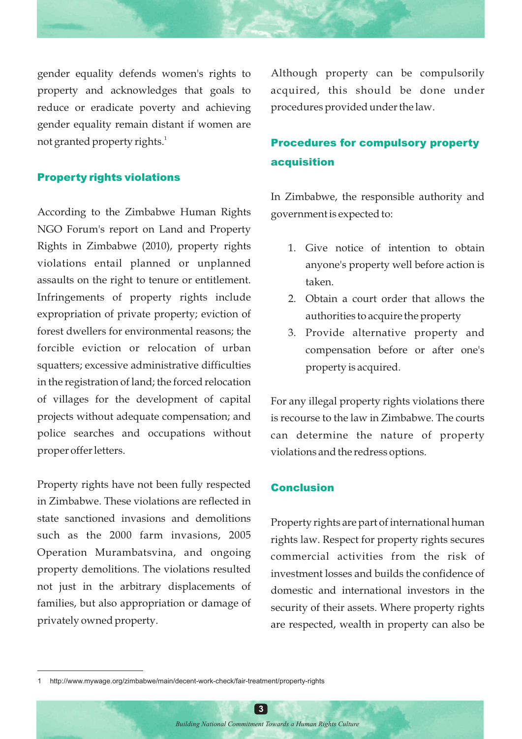gender equality defends women's rights to property and acknowledges that goals to reduce or eradicate poverty and achieving gender equality remain distant if women are not granted property rights. $^{\rm 1}$ 

#### Property rights violations

According to the Zimbabwe Human Rights NGO Forum's report on Land and Property Rights in Zimbabwe (2010), property rights violations entail planned or unplanned assaults on the right to tenure or entitlement. Infringements of property rights include expropriation of private property; eviction of forest dwellers for environmental reasons; the forcible eviction or relocation of urban squatters; excessive administrative difficulties in the registration of land; the forced relocation of villages for the development of capital projects without adequate compensation; and police searches and occupations without proper offer letters.

Property rights have not been fully respected in Zimbabwe. These violations are reflected in state sanctioned invasions and demolitions such as the 2000 farm invasions, 2005 Operation Murambatsvina, and ongoing property demolitions. The violations resulted not just in the arbitrary displacements of families, but also appropriation or damage of privately owned property.

Although property can be compulsorily acquired, this should be done under procedures provided under the law.

## Procedures for compulsory property acquisition

In Zimbabwe, the responsible authority and government is expected to:

- 1. Give notice of intention to obtain anyone's property well before action is taken.
- 2. Obtain a court order that allows the authorities to acquire the property
- 3. Provide alternative property and compensation before or after one's property is acquired.

For any illegal property rights violations there is recourse to the law in Zimbabwe. The courts can determine the nature of property violations and the redress options.

#### Conclusion

Property rights are part of international human rights law. Respect for property rights secures commercial activities from the risk of investment losses and builds the confidence of domestic and international investors in the security of their assets. Where property rights are respected, wealth in property can also be

**3**

<sup>1</sup> http://www.mywage.org/zimbabwe/main/decent-work-check/fair-treatment/property-rights